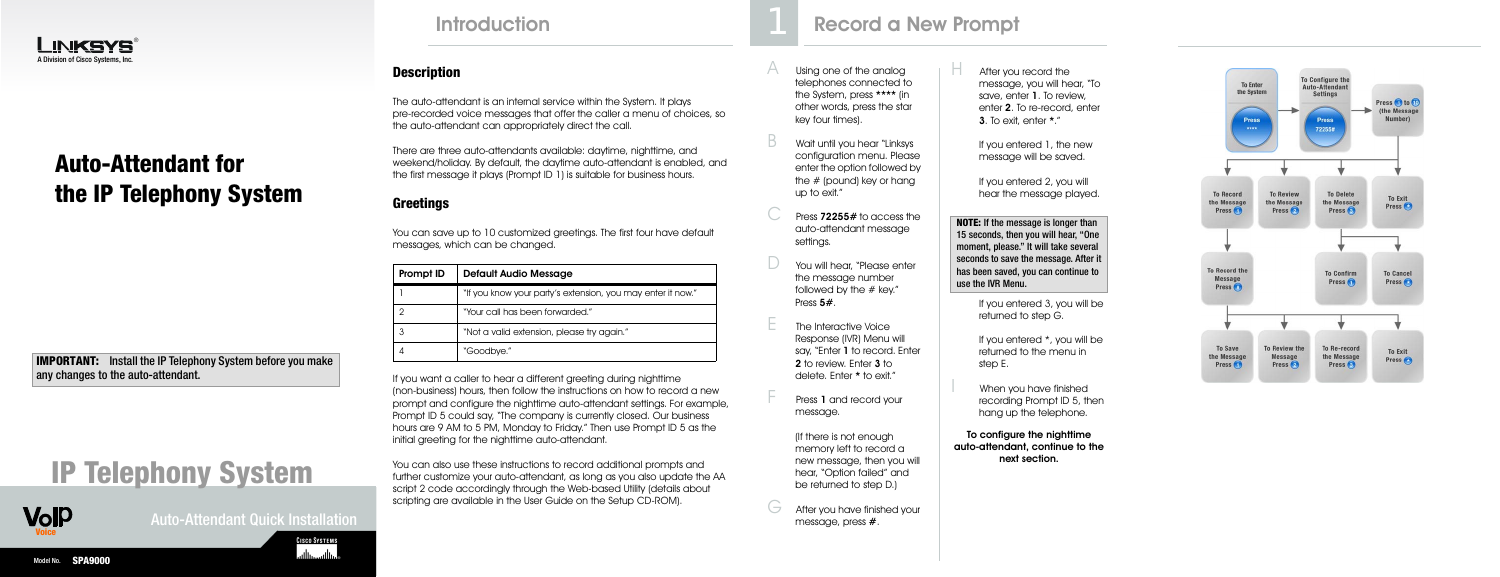Auto-Attendant Quick Installation

**CISCO SYSTEMS** وبالسوبالس





After you record the message, you will hear, "To save, enter 1. To review, enter 2. To re-record, enter 3. To exit, enter \*."

If you entered 1, the new message will be saved.

When you have finished recording Prompt ID 5, then hang up the telephone.

If you entered 2, you will hear the message played.

If you entered 3, you will be returned to step G.

If you entered \*, you will be returned to the menu in step E.

To configure the nighttime auto-attendant, continue to the next section.



### **Description**

The auto-attendant is an internal service within the System. It plays pre-recorded voice messages that offer the caller a menu of choices, so the auto-attendant can appropriately direct the call.

There are three auto-attendants available: daytime, nighttime, and weekend/holiday. By default, the daytime auto-attendant is enabled, and the first message it plays (Prompt ID 1) is suitable for business hours.

### **Greetings**

You can save up to 10 customized greetings. The first four have default messages, which can be changed.

- Using one of the analog telephones connected to the System, press \*\*\*\* (in other words, press the star key four times).
- Wait until you hear "Linksys" configuration menu. Please enter the option followed by the # (pound) key or hang up to exit."
- Press 72255# to access the auto-attendant message settings.
- $\Box$  You will hear, "Please enter the message number followed by the  $#$  key." Press 5#.
- $E$  The Interactive Voice Response (IVR) Menu will say, "Enter 1 to record. Enter 2 to review. Enter 3 to delete. Enter \* to exit."
	- Press 1 and record your message.

If you want a caller to hear a different greeting during nighttime (non-business) hours, then follow the instructions on how to record a new prompt and configure the nighttime auto-attendant settings. For example, Prompt ID 5 could say, "The company is currently closed. Our business hours are 9 AM to 5 PM, Monday to Friday." Then use Prompt ID 5 as the initial greeting for the nighttime auto-attendant.

> $G$  After you have finished your message, press #.

**IMPORTANT:** Install the IP Telephony System before you make any changes to the auto-attendant.

> You can also use these instructions to record additional prompts and further customize your auto-attendant, as long as you also update the AA script 2 code accordingly through the Web-based Utility (details about scripting are available in the User Guide on the Setup CD-ROM).

# Introduction **Record a New Prompt** 1

| Prompt ID | <b>Default Audio Message</b>                                |
|-----------|-------------------------------------------------------------|
|           | "If you know your party's extension, you may enter it now." |
|           | "Your call has been forwarded."                             |
|           | "Not a valid extension, please try again."                  |
|           | "Goodbye."                                                  |

(If there is not enough memory left to record a new message, then you will hear, "Option failed" and be returned to step D.)

# **IP Telephony System**

**NOTE:** If the message is longer than 15 seconds, then you will hear, "One moment, please." It will take several seconds to save the message. After it has been saved, you can continue to use the IVR Menu.

# **Auto-Attendant for the IP Telephony System**